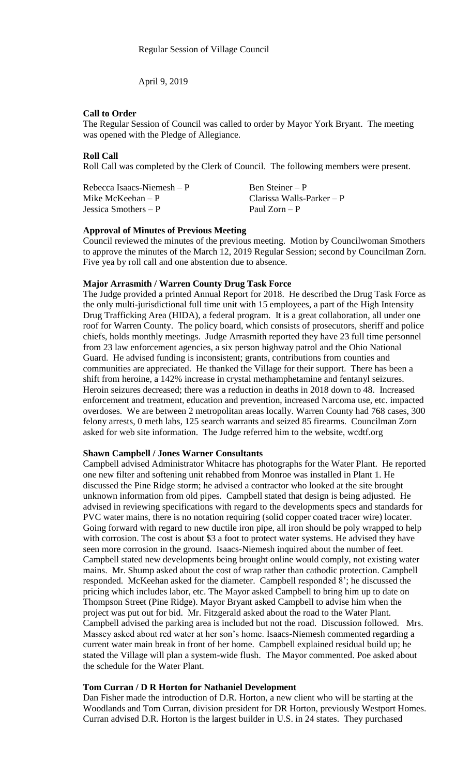### **Call to Order**

The Regular Session of Council was called to order by Mayor York Bryant. The meeting was opened with the Pledge of Allegiance.

# **Roll Call**

Roll Call was completed by the Clerk of Council. The following members were present.

| Rebecca Isaacs-Niemesh $-P$ | Ben Steiner – P             |
|-----------------------------|-----------------------------|
| Mike McKeehan – P           | Clarissa Walls-Parker $- P$ |
| Jessica Smothers $-P$       | Paul $Zorn - P$             |

### **Approval of Minutes of Previous Meeting**

Council reviewed the minutes of the previous meeting. Motion by Councilwoman Smothers to approve the minutes of the March 12, 2019 Regular Session; second by Councilman Zorn. Five yea by roll call and one abstention due to absence.

### **Major Arrasmith / Warren County Drug Task Force**

The Judge provided a printed Annual Report for 2018. He described the Drug Task Force as the only multi-jurisdictional full time unit with 15 employees, a part of the High Intensity Drug Trafficking Area (HIDA), a federal program. It is a great collaboration, all under one roof for Warren County. The policy board, which consists of prosecutors, sheriff and police chiefs, holds monthly meetings. Judge Arrasmith reported they have 23 full time personnel from 23 law enforcement agencies, a six person highway patrol and the Ohio National Guard. He advised funding is inconsistent; grants, contributions from counties and communities are appreciated. He thanked the Village for their support. There has been a shift from heroine, a 142% increase in crystal methamphetamine and fentanyl seizures. Heroin seizures decreased; there was a reduction in deaths in 2018 down to 48. Increased enforcement and treatment, education and prevention, increased Narcoma use, etc. impacted overdoses. We are between 2 metropolitan areas locally. Warren County had 768 cases, 300 felony arrests, 0 meth labs, 125 search warrants and seized 85 firearms. Councilman Zorn asked for web site information. The Judge referred him to the website, wcdtf.org

## **Shawn Campbell / Jones Warner Consultants**

Campbell advised Administrator Whitacre has photographs for the Water Plant. He reported one new filter and softening unit rehabbed from Monroe was installed in Plant 1. He discussed the Pine Ridge storm; he advised a contractor who looked at the site brought unknown information from old pipes. Campbell stated that design is being adjusted. He advised in reviewing specifications with regard to the developments specs and standards for PVC water mains, there is no notation requiring (solid copper coated tracer wire) locater. Going forward with regard to new ductile iron pipe, all iron should be poly wrapped to help with corrosion. The cost is about \$3 a foot to protect water systems. He advised they have seen more corrosion in the ground. Isaacs-Niemesh inquired about the number of feet. Campbell stated new developments being brought online would comply, not existing water mains. Mr. Shump asked about the cost of wrap rather than cathodic protection. Campbell responded. McKeehan asked for the diameter. Campbell responded 8'; he discussed the pricing which includes labor, etc. The Mayor asked Campbell to bring him up to date on Thompson Street (Pine Ridge). Mayor Bryant asked Campbell to advise him when the project was put out for bid. Mr. Fitzgerald asked about the road to the Water Plant. Campbell advised the parking area is included but not the road. Discussion followed. Mrs. Massey asked about red water at her son's home. Isaacs-Niemesh commented regarding a current water main break in front of her home. Campbell explained residual build up; he stated the Village will plan a system-wide flush. The Mayor commented. Poe asked about the schedule for the Water Plant.

## **Tom Curran / D R Horton for Nathaniel Development**

Dan Fisher made the introduction of D.R. Horton, a new client who will be starting at the Woodlands and Tom Curran, division president for DR Horton, previously Westport Homes. Curran advised D.R. Horton is the largest builder in U.S. in 24 states. They purchased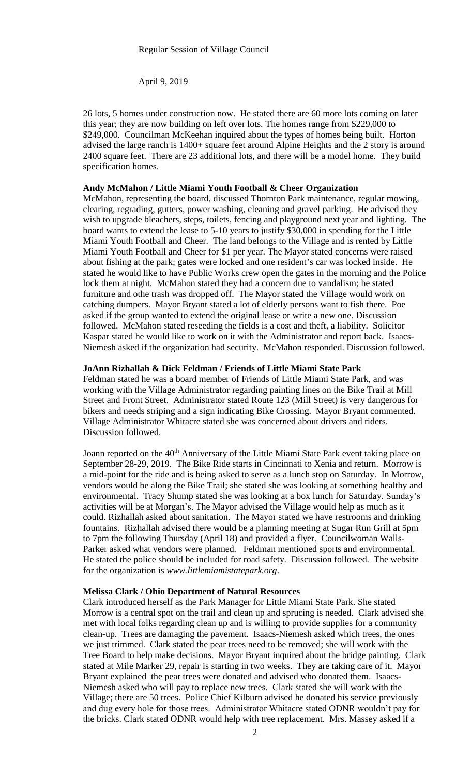26 lots, 5 homes under construction now. He stated there are 60 more lots coming on later this year; they are now building on left over lots. The homes range from \$229,000 to \$249,000. Councilman McKeehan inquired about the types of homes being built. Horton advised the large ranch is 1400+ square feet around Alpine Heights and the 2 story is around 2400 square feet. There are 23 additional lots, and there will be a model home. They build specification homes.

### **Andy McMahon / Little Miami Youth Football & Cheer Organization**

McMahon, representing the board, discussed Thornton Park maintenance, regular mowing, clearing, regrading, gutters, power washing, cleaning and gravel parking. He advised they wish to upgrade bleachers, steps, toilets, fencing and playground next year and lighting. The board wants to extend the lease to 5-10 years to justify \$30,000 in spending for the Little Miami Youth Football and Cheer. The land belongs to the Village and is rented by Little Miami Youth Football and Cheer for \$1 per year. The Mayor stated concerns were raised about fishing at the park; gates were locked and one resident's car was locked inside. He stated he would like to have Public Works crew open the gates in the morning and the Police lock them at night. McMahon stated they had a concern due to vandalism; he stated furniture and othe trash was dropped off. The Mayor stated the Village would work on catching dumpers. Mayor Bryant stated a lot of elderly persons want to fish there. Poe asked if the group wanted to extend the original lease or write a new one. Discussion followed. McMahon stated reseeding the fields is a cost and theft, a liability. Solicitor Kaspar stated he would like to work on it with the Administrator and report back. Isaacs-Niemesh asked if the organization had security. McMahon responded. Discussion followed.

## **JoAnn Rizhallah & Dick Feldman / Friends of Little Miami State Park**

Feldman stated he was a board member of Friends of Little Miami State Park, and was working with the Village Administrator regarding painting lines on the Bike Trail at Mill Street and Front Street. Administrator stated Route 123 (Mill Street) is very dangerous for bikers and needs striping and a sign indicating Bike Crossing. Mayor Bryant commented. Village Administrator Whitacre stated she was concerned about drivers and riders. Discussion followed.

Joann reported on the 40<sup>th</sup> Anniversary of the Little Miami State Park event taking place on September 28-29, 2019. The Bike Ride starts in Cincinnati to Xenia and return. Morrow is a mid-point for the ride and is being asked to serve as a lunch stop on Saturday. In Morrow, vendors would be along the Bike Trail; she stated she was looking at something healthy and environmental. Tracy Shump stated she was looking at a box lunch for Saturday. Sunday's activities will be at Morgan's. The Mayor advised the Village would help as much as it could. Rizhallah asked about sanitation. The Mayor stated we have restrooms and drinking fountains. Rizhallah advised there would be a planning meeting at Sugar Run Grill at 5pm to 7pm the following Thursday (April 18) and provided a flyer. Councilwoman Walls-Parker asked what vendors were planned. Feldman mentioned sports and environmental. He stated the police should be included for road safety. Discussion followed. The website for the organization is *www.littlemiamistatepark.org*.

### **Melissa Clark / Ohio Department of Natural Resources**

Clark introduced herself as the Park Manager for Little Miami State Park. She stated Morrow is a central spot on the trail and clean up and sprucing is needed. Clark advised she met with local folks regarding clean up and is willing to provide supplies for a community clean-up. Trees are damaging the pavement. Isaacs-Niemesh asked which trees, the ones we just trimmed. Clark stated the pear trees need to be removed; she will work with the Tree Board to help make decisions. Mayor Bryant inquired about the bridge painting. Clark stated at Mile Marker 29, repair is starting in two weeks. They are taking care of it. Mayor Bryant explained the pear trees were donated and advised who donated them. Isaacs-Niemesh asked who will pay to replace new trees. Clark stated she will work with the Village; there are 50 trees. Police Chief Kilburn advised he donated his service previously and dug every hole for those trees. Administrator Whitacre stated ODNR wouldn't pay for the bricks. Clark stated ODNR would help with tree replacement. Mrs. Massey asked if a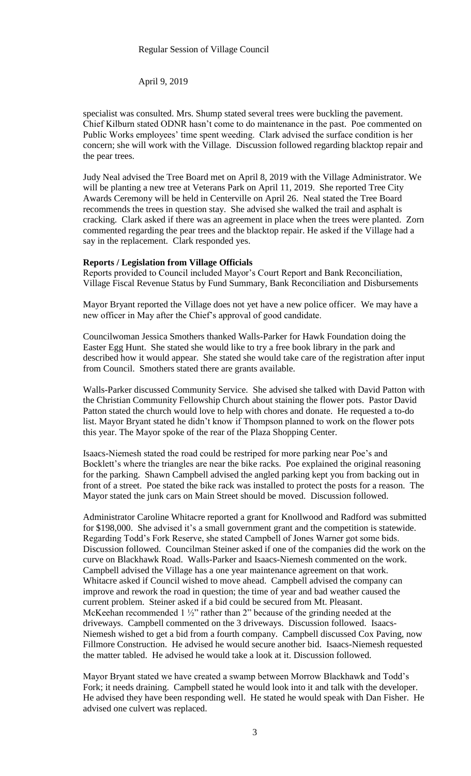specialist was consulted. Mrs. Shump stated several trees were buckling the pavement. Chief Kilburn stated ODNR hasn't come to do maintenance in the past. Poe commented on Public Works employees' time spent weeding. Clark advised the surface condition is her concern; she will work with the Village. Discussion followed regarding blacktop repair and the pear trees.

Judy Neal advised the Tree Board met on April 8, 2019 with the Village Administrator. We will be planting a new tree at Veterans Park on April 11, 2019. She reported Tree City Awards Ceremony will be held in Centerville on April 26. Neal stated the Tree Board recommends the trees in question stay. She advised she walked the trail and asphalt is cracking. Clark asked if there was an agreement in place when the trees were planted. Zorn commented regarding the pear trees and the blacktop repair. He asked if the Village had a say in the replacement. Clark responded yes.

#### **Reports / Legislation from Village Officials**

Reports provided to Council included Mayor's Court Report and Bank Reconciliation, Village Fiscal Revenue Status by Fund Summary, Bank Reconciliation and Disbursements

Mayor Bryant reported the Village does not yet have a new police officer. We may have a new officer in May after the Chief's approval of good candidate.

Councilwoman Jessica Smothers thanked Walls-Parker for Hawk Foundation doing the Easter Egg Hunt. She stated she would like to try a free book library in the park and described how it would appear. She stated she would take care of the registration after input from Council. Smothers stated there are grants available.

Walls-Parker discussed Community Service. She advised she talked with David Patton with the Christian Community Fellowship Church about staining the flower pots. Pastor David Patton stated the church would love to help with chores and donate. He requested a to-do list. Mayor Bryant stated he didn't know if Thompson planned to work on the flower pots this year. The Mayor spoke of the rear of the Plaza Shopping Center.

Isaacs-Niemesh stated the road could be restriped for more parking near Poe's and Bocklett's where the triangles are near the bike racks. Poe explained the original reasoning for the parking. Shawn Campbell advised the angled parking kept you from backing out in front of a street. Poe stated the bike rack was installed to protect the posts for a reason. The Mayor stated the junk cars on Main Street should be moved. Discussion followed.

Administrator Caroline Whitacre reported a grant for Knollwood and Radford was submitted for \$198,000. She advised it's a small government grant and the competition is statewide. Regarding Todd's Fork Reserve, she stated Campbell of Jones Warner got some bids. Discussion followed. Councilman Steiner asked if one of the companies did the work on the curve on Blackhawk Road. Walls-Parker and Isaacs-Niemesh commented on the work. Campbell advised the Village has a one year maintenance agreement on that work. Whitacre asked if Council wished to move ahead. Campbell advised the company can improve and rework the road in question; the time of year and bad weather caused the current problem. Steiner asked if a bid could be secured from Mt. Pleasant. McKeehan recommended 1  $\frac{1}{2}$ " rather than 2" because of the grinding needed at the driveways. Campbell commented on the 3 driveways. Discussion followed. Isaacs-Niemesh wished to get a bid from a fourth company. Campbell discussed Cox Paving, now Fillmore Construction. He advised he would secure another bid. Isaacs-Niemesh requested the matter tabled. He advised he would take a look at it. Discussion followed.

Mayor Bryant stated we have created a swamp between Morrow Blackhawk and Todd's Fork; it needs draining. Campbell stated he would look into it and talk with the developer. He advised they have been responding well. He stated he would speak with Dan Fisher. He advised one culvert was replaced.